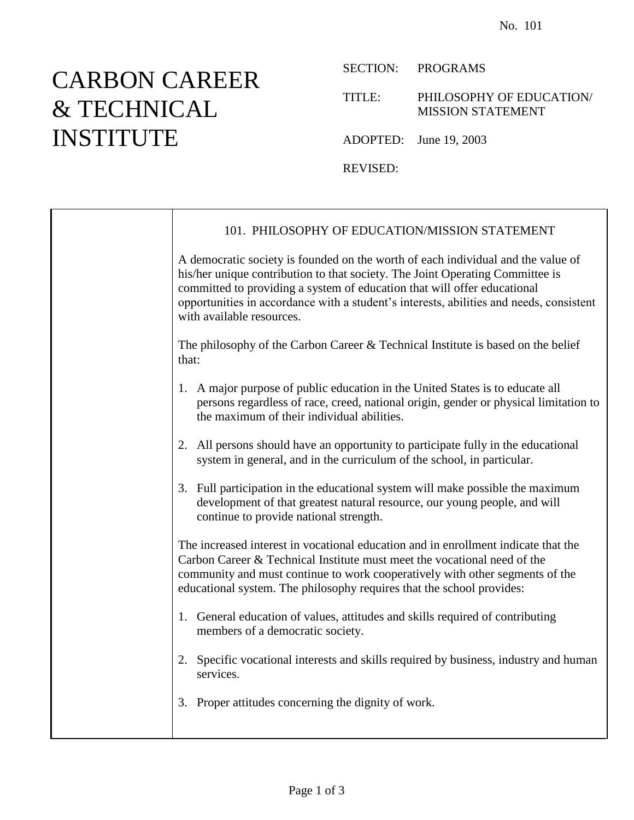## CARBON CAREER & TECHNICAL INSTITUTE

SECTION: PROGRAMS

TITLE: PHILOSOPHY OF EDUCATION/ MISSION STATEMENT

ADOPTED: June 19, 2003

REVISED:

|  | 101. PHILOSOPHY OF EDUCATION/MISSION STATEMENT                                                                                                                                                                                                                                                                                                                        |
|--|-----------------------------------------------------------------------------------------------------------------------------------------------------------------------------------------------------------------------------------------------------------------------------------------------------------------------------------------------------------------------|
|  | A democratic society is founded on the worth of each individual and the value of<br>his/her unique contribution to that society. The Joint Operating Committee is<br>committed to providing a system of education that will offer educational<br>opportunities in accordance with a student's interests, abilities and needs, consistent<br>with available resources. |
|  | The philosophy of the Carbon Career & Technical Institute is based on the belief<br>that:                                                                                                                                                                                                                                                                             |
|  | 1. A major purpose of public education in the United States is to educate all<br>persons regardless of race, creed, national origin, gender or physical limitation to<br>the maximum of their individual abilities.                                                                                                                                                   |
|  | 2. All persons should have an opportunity to participate fully in the educational<br>system in general, and in the curriculum of the school, in particular.                                                                                                                                                                                                           |
|  | 3. Full participation in the educational system will make possible the maximum<br>development of that greatest natural resource, our young people, and will<br>continue to provide national strength.                                                                                                                                                                 |
|  | The increased interest in vocational education and in enrollment indicate that the<br>Carbon Career & Technical Institute must meet the vocational need of the<br>community and must continue to work cooperatively with other segments of the<br>educational system. The philosophy requires that the school provides:                                               |
|  | 1. General education of values, attitudes and skills required of contributing<br>members of a democratic society.                                                                                                                                                                                                                                                     |
|  | 2. Specific vocational interests and skills required by business, industry and human<br>services.                                                                                                                                                                                                                                                                     |
|  | 3. Proper attitudes concerning the dignity of work.                                                                                                                                                                                                                                                                                                                   |
|  |                                                                                                                                                                                                                                                                                                                                                                       |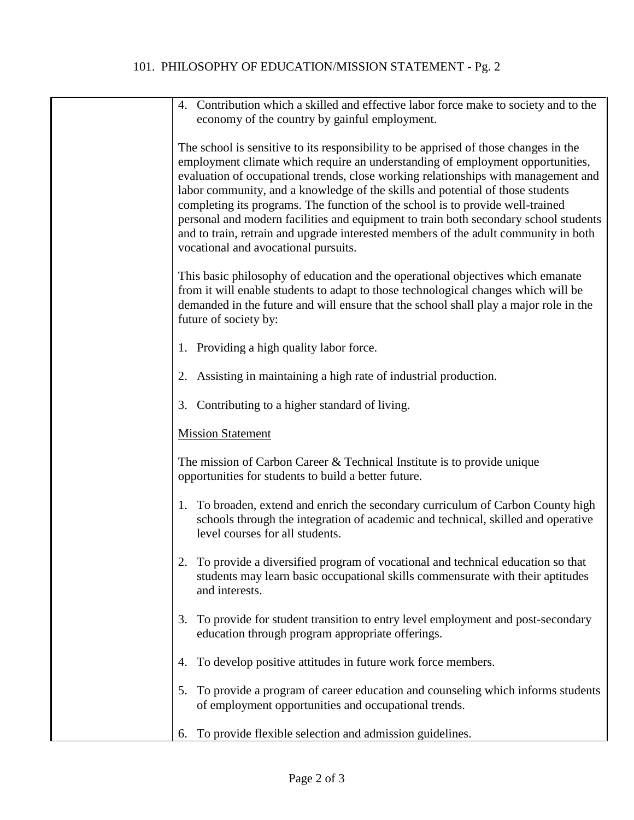## 101. PHILOSOPHY OF EDUCATION/MISSION STATEMENT - Pg. 2

| 4. Contribution which a skilled and effective labor force make to society and to the                                                                                                                                                                                                                                                                                                                                                                                                                                                                                                                                                                    |
|---------------------------------------------------------------------------------------------------------------------------------------------------------------------------------------------------------------------------------------------------------------------------------------------------------------------------------------------------------------------------------------------------------------------------------------------------------------------------------------------------------------------------------------------------------------------------------------------------------------------------------------------------------|
| economy of the country by gainful employment.                                                                                                                                                                                                                                                                                                                                                                                                                                                                                                                                                                                                           |
| The school is sensitive to its responsibility to be apprised of those changes in the<br>employment climate which require an understanding of employment opportunities,<br>evaluation of occupational trends, close working relationships with management and<br>labor community, and a knowledge of the skills and potential of those students<br>completing its programs. The function of the school is to provide well-trained<br>personal and modern facilities and equipment to train both secondary school students<br>and to train, retrain and upgrade interested members of the adult community in both<br>vocational and avocational pursuits. |
| This basic philosophy of education and the operational objectives which emanate<br>from it will enable students to adapt to those technological changes which will be<br>demanded in the future and will ensure that the school shall play a major role in the<br>future of society by:                                                                                                                                                                                                                                                                                                                                                                 |
| 1. Providing a high quality labor force.                                                                                                                                                                                                                                                                                                                                                                                                                                                                                                                                                                                                                |
| 2. Assisting in maintaining a high rate of industrial production.                                                                                                                                                                                                                                                                                                                                                                                                                                                                                                                                                                                       |
| 3. Contributing to a higher standard of living.                                                                                                                                                                                                                                                                                                                                                                                                                                                                                                                                                                                                         |
| <b>Mission Statement</b>                                                                                                                                                                                                                                                                                                                                                                                                                                                                                                                                                                                                                                |
| The mission of Carbon Career $&$ Technical Institute is to provide unique<br>opportunities for students to build a better future.                                                                                                                                                                                                                                                                                                                                                                                                                                                                                                                       |
| 1. To broaden, extend and enrich the secondary curriculum of Carbon County high<br>schools through the integration of academic and technical, skilled and operative<br>level courses for all students.                                                                                                                                                                                                                                                                                                                                                                                                                                                  |
| 2. To provide a diversified program of vocational and technical education so that<br>students may learn basic occupational skills commensurate with their aptitudes<br>and interests.                                                                                                                                                                                                                                                                                                                                                                                                                                                                   |
| To provide for student transition to entry level employment and post-secondary<br>3.<br>education through program appropriate offerings.                                                                                                                                                                                                                                                                                                                                                                                                                                                                                                                |
| To develop positive attitudes in future work force members.<br>4.                                                                                                                                                                                                                                                                                                                                                                                                                                                                                                                                                                                       |
| To provide a program of career education and counseling which informs students<br>5.<br>of employment opportunities and occupational trends.                                                                                                                                                                                                                                                                                                                                                                                                                                                                                                            |
| To provide flexible selection and admission guidelines.<br>6.                                                                                                                                                                                                                                                                                                                                                                                                                                                                                                                                                                                           |